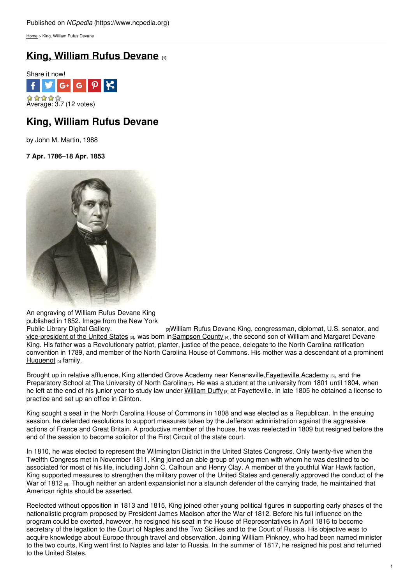[Home](https://www.ncpedia.org/) > King, William Rufus Devane

## **King, William Rufus [Devane](https://www.ncpedia.org/biography/king-william-rufus-devane) [1]**



# **King, William Rufus Devane**

by John M. Martin, 1988

**7 Apr. 1786–18 Apr. 1853**



An engraving of William Rufus Devane King published in 1852. Image from the New York

Public Library Digital [Gallery.](http://digitalgallery.nypl.org/nypldigital/id?421083) **[2] Public Library Digital Action** Putus Devane King, congressman, diplomat, U.S. senator, and [vice-president](https://www.ncpedia.org/vice-presidents-us) of the United States [3], was born in [Sampson](https://www.ncpedia.org/geography/sampson) County [4], the second son of William and Margaret Devane King. His father was a Revolutionary patriot, planter, justice of the peace, delegate to the North Carolina ratification convention in 1789, and member of the North Carolina House of Commons. His mother was a descendant of a prominent [Huguenot](https://www.ncpedia.org/huguenots) [5] family.

Brought up in relative affluence, King attended Grove Academy near Kenansville, Fayetteville Academy [6], and the Preparatory School at The [University](https://www.ncpedia.org/university-north-carolina-chapel-hi) of North Carolina  $\eta$ . He was a student at the university from 1801 until 1804, when he left at the end of his junior year to study law under [William](https://www.ncpedia.org/biography/duffy-william) Duffy [8] at Fayetteville. In late 1805 he obtained a license to practice and set up an office in Clinton.

King sought a seat in the North Carolina House of Commons in 1808 and was elected as a Republican. In the ensuing session, he defended resolutions to support measures taken by the Jefferson administration against the aggressive actions of France and Great Britain. A productive member of the house, he was reelected in 1809 but resigned before the end of the session to become solicitor of the First Circuit of the state court.

In 1810, he was elected to represent the Wilmington District in the United States Congress. Only twenty-five when the Twelfth Congress met in November 1811, King joined an able group of young men with whom he was destined to be associated for most of his life, including John C. Calhoun and Henry Clay. A member of the youthful War Hawk faction, King supported measures to strengthen the military power of the United States and generally approved the conduct of the War of [1812](https://www.ncpedia.org/war-1812) <sub>[9]</sub>. Though neither an ardent expansionist nor a staunch defender of the carrying trade, he maintained that American rights should be asserted.

Reelected without opposition in 1813 and 1815, King joined other young political figures in supporting early phases of the nationalistic program proposed by President James Madison after the War of 1812. Before his full influence on the program could be exerted, however, he resigned his seat in the House of Representatives in April 1816 to become secretary of the legation to the Court of Naples and the Two Sicilies and to the Court of Russia. His objective was to acquire knowledge about Europe through travel and observation. Joining William Pinkney, who had been named minister to the two courts, King went first to Naples and later to Russia. In the summer of 1817, he resigned his post and returned to the United States.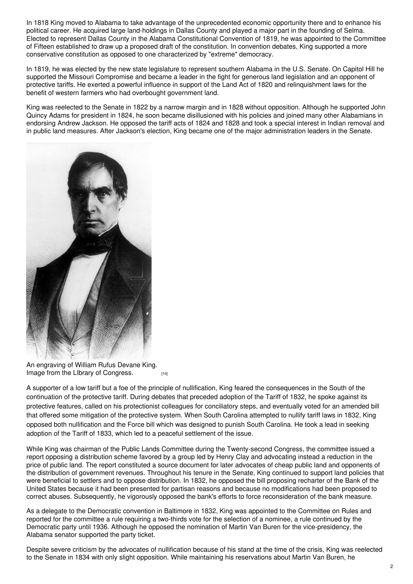In 1818 King moved to Alabama to take advantage of the unprecedented economic opportunity there and to enhance his political career. He acquired large land-holdings in Dallas County and played a major part in the founding of Selma. Elected to represent Dallas County in the Alabama Constitutional Convention of 1819, he was appointed to the Committee of Fifteen established to draw up a proposed draft of the constitution. In convention debates, King supported a more conservative constitution as opposed to one characterized by "extreme" democracy.

In 1819, he was elected by the new state legislature to represent southern Alabama in the U.S. Senate. On Capitol Hill he supported the Missouri Compromise and became a leader in the fight for generous land legislation and an opponent of protective tariffs. He exerted a powerful influence in support of the Land Act of 1820 and relinquishment laws for the benefit of western farmers who had overbought government land.

King was reelected to the Senate in 1822 by a narrow margin and in 1828 without opposition. Although he supported John Quincy Adams for president in 1824, he soon became disillusioned with his policies and joined many other Alabamians in endorsing Andrew Jackson. He opposed the tariff acts of 1824 and 1828 and took a special interest in Indian removal and in public land measures. After Jackson's election, King became one of the major administration leaders in the Senate.



An engraving of William Rufus Devane King. Image from the LIbrary of [Congress.](http://www.loc.gov/pictures/item/2003681719/) [10]

A supporter of a low tariff but a foe of the principle of nullification, King feared the consequences in the South of the continuation of the protective tariff. During debates that preceded adoption of the Tariff of 1832, he spoke against its protective features, called on his protectionist colleagues for conciliatory steps, and eventually voted for an amended bill that offered some mitigation of the protective system. When South Carolina attempted to nullify tariff laws in 1832, King opposed both nullification and the Force bill which was designed to punish South Carolina. He took a lead in seeking adoption of the Tariff of 1833, which led to a peaceful settlement of the issue.

While King was chairman of the Public Lands Committee during the Twenty-second Congress, the committee issued a report opposing a distribution scheme favored by a group led by Henry Clay and advocating instead a reduction in the price of public land. The report constituted a source document for later advocates of cheap public land and opponents of the distribution of government revenues. Throughout his tenure in the Senate, King continued to support land policies that were beneficial to settlers and to oppose distribution. In 1832, he opposed the bill proposing recharter of the Bank of the United States because it had been presented for partisan reasons and because no modifications had been proposed to correct abuses. Subsequently, he vigorously opposed the bank's efforts to force reconsideration of the bank measure.

As a delegate to the Democratic convention in Baltimore in 1832, King was appointed to the Committee on Rules and reported for the committee a rule requiring a two-thirds vote for the selection of a nominee, a rule continued by the Democratic party until 1936. Although he opposed the nomination of Martin Van Buren for the vice-presidency, the Alabama senator supported the party ticket.

Despite severe criticism by the advocates of nullification because of his stand at the time of the crisis, King was reelected to the Senate in 1834 with only slight opposition. While maintaining his reservations about Martin Van Buren, he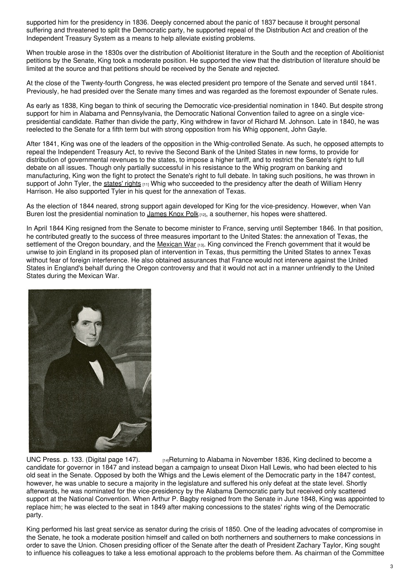supported him for the presidency in 1836. Deeply concerned about the panic of 1837 because it brought personal suffering and threatened to split the Democratic party, he supported repeal of the Distribution Act and creation of the Independent Treasury System as a means to help alleviate existing problems.

When trouble arose in the 1830s over the distribution of Abolitionist literature in the South and the reception of Abolitionist petitions by the Senate, King took a moderate position. He supported the view that the distribution of literature should be limited at the source and that petitions should be received by the Senate and rejected.

At the close of the Twenty-fourth Congress, he was elected president pro tempore of the Senate and served until 1841. Previously, he had presided over the Senate many times and was regarded as the foremost expounder of Senate rules.

As early as 1838, King began to think of securing the Democratic vice-presidential nomination in 1840. But despite strong support for him in Alabama and Pennsylvania, the Democratic National Convention failed to agree on a single vicepresidential candidate. Rather than divide the party, King withdrew in favor of Richard M. Johnson. Late in 1840, he was reelected to the Senate for a fifth term but with strong opposition from his Whig opponent, John Gayle.

After 1841, King was one of the leaders of the opposition in the Whig-controlled Senate. As such, he opposed attempts to repeal the Independent Treasury Act, to revive the Second Bank of the United States in new forms, to provide for distribution of governmental revenues to the states, to impose a higher tariff, and to restrict the Senate's right to full debate on all issues. Though only partially successful in his resistance to the Whig program on banking and manufacturing, King won the fight to protect the Senate's right to full debate. In taking such positions, he was thrown in support of John Tyler, the [states'](https://www.ncpedia.org/state-rights) rights  $[11]$  Whig who succeeded to the presidency after the death of William Henry Harrison. He also supported Tyler in his quest for the annexation of Texas.

As the election of 1844 neared, strong support again developed for King for the vice-presidency. However, when Van Buren lost the presidential nomination to [James](https://www.ncpedia.org/biography/polk-james-knox) Knox Polk [12], a southerner, his hopes were shattered.

In April 1844 King resigned from the Senate to become minister to France, serving until September 1846. In that position, he contributed greatly to the success of three measures important to the United States: the annexation of Texas, the settlement of the Oregon boundary, and the [Mexican](https://www.ncpedia.org/mexican-war) War [13]. King convinced the French government that it would be unwise to join England in its proposed plan of intervention in Texas, thus permitting the United States to annex Texas without fear of foreign interference. He also obtained assurances that France would not intervene against the United States in England's behalf during the Oregon controversy and that it would not act in a manner unfriendly to the United States during the Mexican War.



UNC Press. p. 133. [\(Digital](http://digital.ncdcr.gov/cdm/ref/collection/p249901coll37/id/24246) page 147). [14] Returning to Alabama in November 1836, King declined to become a

candidate for governor in 1847 and instead began a campaign to unseat Dixon Hall Lewis, who had been elected to his old seat in the Senate. Opposed by both the Whigs and the Lewis element of the Democratic party in the 1847 contest, however, he was unable to secure a majority in the legislature and suffered his only defeat at the state level. Shortly afterwards, he was nominated for the vice-presidency by the Alabama Democratic party but received only scattered support at the National Convention. When Arthur P. Bagby resigned from the Senate in June 1848, King was appointed to replace him; he was elected to the seat in 1849 after making concessions to the states' rights wing of the Democratic party.

King performed his last great service as senator during the crisis of 1850. One of the leading advocates of compromise in the Senate, he took a moderate position himself and called on both northerners and southerners to make concessions in order to save the Union. Chosen presiding officer of the Senate after the death of President Zachary Taylor, King sought to influence his colleagues to take a less emotional approach to the problems before them. As chairman of the Committee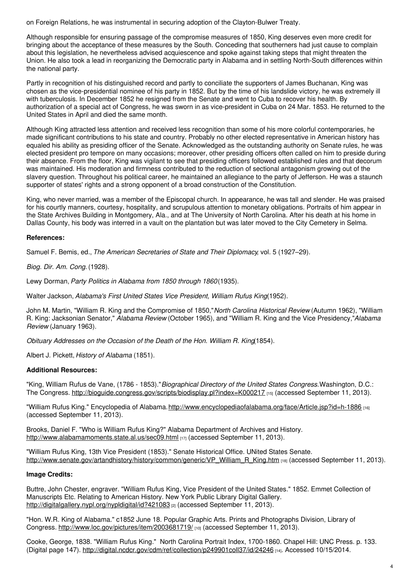on Foreign Relations, he was instrumental in securing adoption of the Clayton-Bulwer Treaty.

Although responsible for ensuring passage of the compromise measures of 1850, King deserves even more credit for bringing about the acceptance of these measures by the South. Conceding that southerners had just cause to complain about this legislation, he nevertheless advised acquiescence and spoke against taking steps that might threaten the Union. He also took a lead in reorganizing the Democratic party in Alabama and in settling North-South differences within the national party.

Partly in recognition of his distinguished record and partly to conciliate the supporters of James Buchanan, King was chosen as the vice-presidential nominee of his party in 1852. But by the time of his landslide victory, he was extremely ill with tuberculosis. In December 1852 he resigned from the Senate and went to Cuba to recover his health. By authorization of a special act of Congress, he was sworn in as vice-president in Cuba on 24 Mar. 1853. He returned to the United States in April and died the same month.

Although King attracted less attention and received less recognition than some of his more colorful contemporaries, he made significant contributions to his state and country. Probably no other elected representative in American history has equaled his ability as presiding officer of the Senate. Acknowledged as the outstanding authority on Senate rules, he was elected president pro tempore on many occasions; moreover, other presiding officers often called on him to preside during their absence. From the floor, King was vigilant to see that presiding officers followed established rules and that decorum was maintained. His moderation and firmness contributed to the reduction of sectional antagonism growing out of the slavery question. Throughout his political career, he maintained an allegiance to the party of Jefferson. He was a staunch supporter of states' rights and a strong opponent of a broad construction of the Constitution.

King, who never married, was a member of the Episcopal church. In appearance, he was tall and slender. He was praised for his courtly manners, courtesy, hospitality, and scrupulous attention to monetary obligations. Portraits of him appear in the State Archives Building in Montgomery, Ala., and at The University of North Carolina. After his death at his home in Dallas County, his body was interred in a vault on the plantation but was later moved to the City Cemetery in Selma.

### **References:**

Samuel F. Bemis, ed., *The American Secretaries of State and Their Diplomacy*, vol. 5 (1927–29).

*Biog. Dir. Am. Cong.* (1928).

Lewy Dorman, *Party Politics in Alabama from 1850 through 1860*(1935).

Walter Jackson, *Alabama's First United States Vice President, William Rufus King*(1952).

John M. Martin, "William R. King and the Compromise of 1850,"*North Carolina Historical Review* (Autumn 1962), "William R. King: Jacksonian Senator," *Alabama Review* (October 1965), and "William R. King and the Vice Presidency,"*Alabama Review* (January 1963).

*Obituary Addresses on the Occasion of the Death of the Hon. William R. King*(1854).

Albert J. Pickett, *History of Alabama* (1851).

#### **Additional Resources:**

"King, William Rufus de Vane, (1786 - 1853)."*Biographical Directory of the United States Congress.*Washington, D.C.: The Congress. <http://bioguide.congress.gov/scripts/biodisplay.pl?index=K000217> [15] (accessed September 11, 2013).

"William Rufus King." Encyclopedia of Alabama.<http://www.encyclopediaofalabama.org/face/Article.jsp?id=h-1886> [16] (accessed September 11, 2013).

Brooks, Daniel F. "Who is William Rufus King?" Alabama Department of Archives and History. <http://www.alabamamoments.state.al.us/sec09.html> [17] (accessed September 11, 2013).

"William Rufus King, 13th Vice President (1853)." Senate Historical Office. UNited States Senate. [http://www.senate.gov/artandhistory/history/common/generic/VP\\_William\\_R\\_King.htm](http://www.senate.gov/artandhistory/history/common/generic/VP_William_R_King.htm) [18] (accessed September 11, 2013).

#### **Image Credits:**

Buttre, John Chester, engraver. "William Rufus King, Vice President of the United States." 1852. Emmet Collection of Manuscripts Etc. Relating to American History. New York Public Library Digital Gallery. <http://digitalgallery.nypl.org/nypldigital/id?421083> [2] (accessed September 11, 2013).

"Hon. W.R. King of Alabama." c1852 June 18. Popular Graphic Arts. Prints and Photographs Division, Library of Congress. <http://www.loc.gov/pictures/item/2003681719/> [10] (accessed September 11, 2013).

Cooke, George, 1838. "William Rufus King." North Carolina Portrait Index, 1700-1860. Chapel Hill: UNC Press. p. 133. (Digital page 147). <http://digital.ncdcr.gov/cdm/ref/collection/p249901coll37/id/24246> [14]. Accessed 10/15/2014.